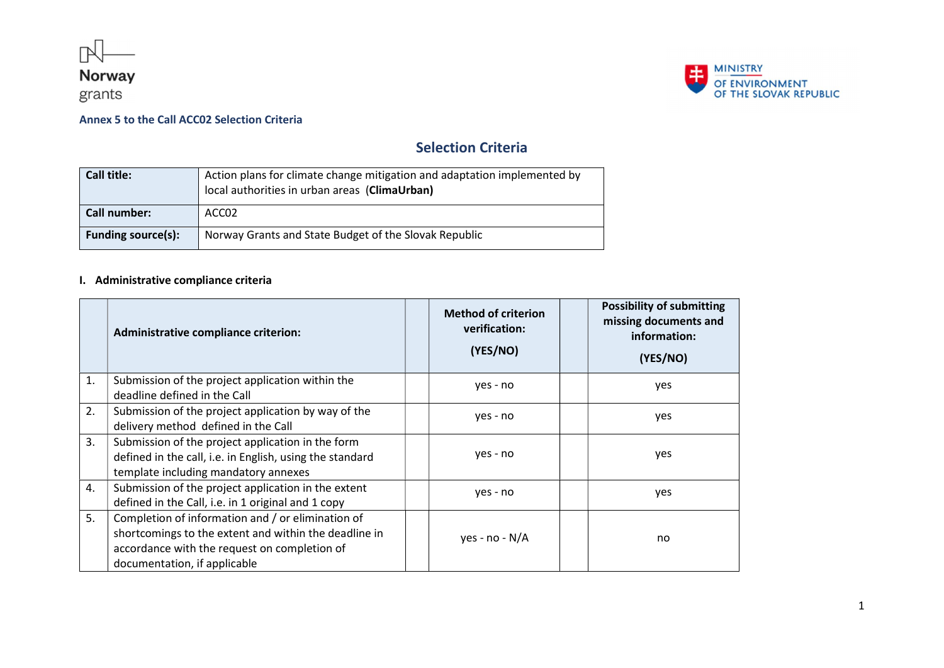





# Selection Criteria

| Call title:               | Action plans for climate change mitigation and adaptation implemented by<br>local authorities in urban areas (ClimaUrban) |
|---------------------------|---------------------------------------------------------------------------------------------------------------------------|
| Call number:              | ACC02                                                                                                                     |
| <b>Funding source(s):</b> | Norway Grants and State Budget of the Slovak Republic                                                                     |

## I. Administrative compliance criteria

|    | Administrative compliance criterion:                                                                                                                                                       | <b>Method of criterion</b><br>verification:<br>(YES/NO) |  | <b>Possibility of submitting</b><br>missing documents and<br>information:<br>(YES/NO) |
|----|--------------------------------------------------------------------------------------------------------------------------------------------------------------------------------------------|---------------------------------------------------------|--|---------------------------------------------------------------------------------------|
| 1. | Submission of the project application within the<br>deadline defined in the Call                                                                                                           | yes - no                                                |  | yes                                                                                   |
| 2. | Submission of the project application by way of the<br>delivery method defined in the Call                                                                                                 | yes - no                                                |  | yes                                                                                   |
| 3. | Submission of the project application in the form<br>defined in the call, i.e. in English, using the standard<br>template including mandatory annexes                                      | yes - no                                                |  | yes                                                                                   |
| 4. | Submission of the project application in the extent<br>defined in the Call, i.e. in 1 original and 1 copy                                                                                  | yes - no                                                |  | yes                                                                                   |
| 5. | Completion of information and / or elimination of<br>shortcomings to the extent and within the deadline in<br>accordance with the request on completion of<br>documentation, if applicable | yes - no - $N/A$                                        |  | no                                                                                    |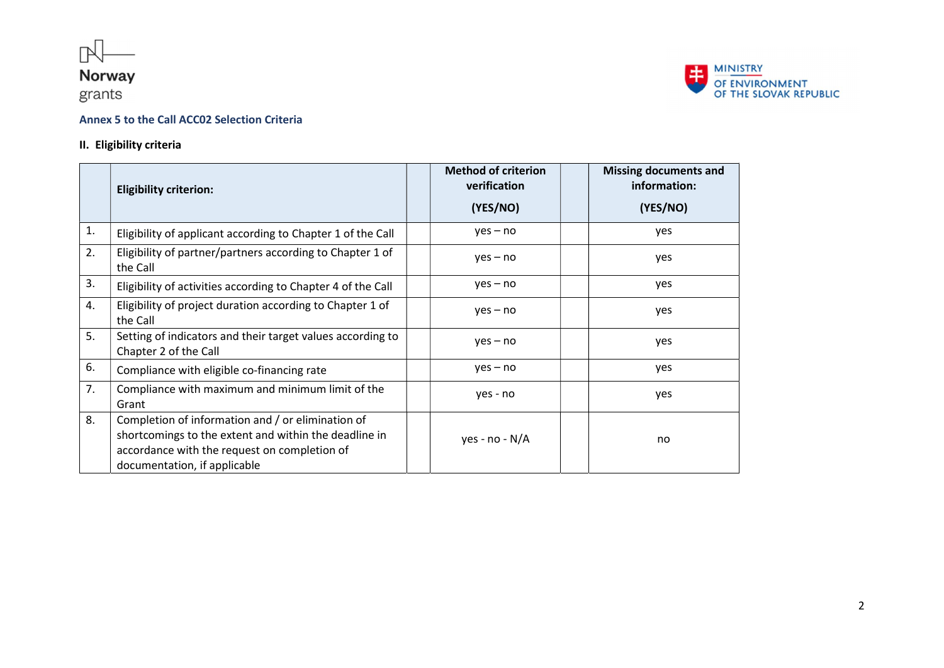

grants



## Annex 5 to the Call ACC02 Selection Criteria

### II. Eligibility criteria

|    | <b>Eligibility criterion:</b>                                                                                                                                                              | <b>Method of criterion</b><br>verification<br>(YES/NO) | <b>Missing documents and</b><br>information:<br>(YES/NO) |
|----|--------------------------------------------------------------------------------------------------------------------------------------------------------------------------------------------|--------------------------------------------------------|----------------------------------------------------------|
| 1. | Eligibility of applicant according to Chapter 1 of the Call                                                                                                                                | $yes - no$                                             | yes                                                      |
| 2. | Eligibility of partner/partners according to Chapter 1 of<br>the Call                                                                                                                      | $yes - no$                                             | yes                                                      |
| 3. | Eligibility of activities according to Chapter 4 of the Call                                                                                                                               | $yes - no$                                             | yes                                                      |
| 4. | Eligibility of project duration according to Chapter 1 of<br>the Call                                                                                                                      | $yes - no$                                             | yes                                                      |
| 5. | Setting of indicators and their target values according to<br>Chapter 2 of the Call                                                                                                        | $yes - no$                                             | yes                                                      |
| 6. | Compliance with eligible co-financing rate                                                                                                                                                 | $yes - no$                                             | yes                                                      |
| 7. | Compliance with maximum and minimum limit of the<br>Grant                                                                                                                                  | yes - no                                               | yes                                                      |
| 8. | Completion of information and / or elimination of<br>shortcomings to the extent and within the deadline in<br>accordance with the request on completion of<br>documentation, if applicable | yes - $no - N/A$                                       | no                                                       |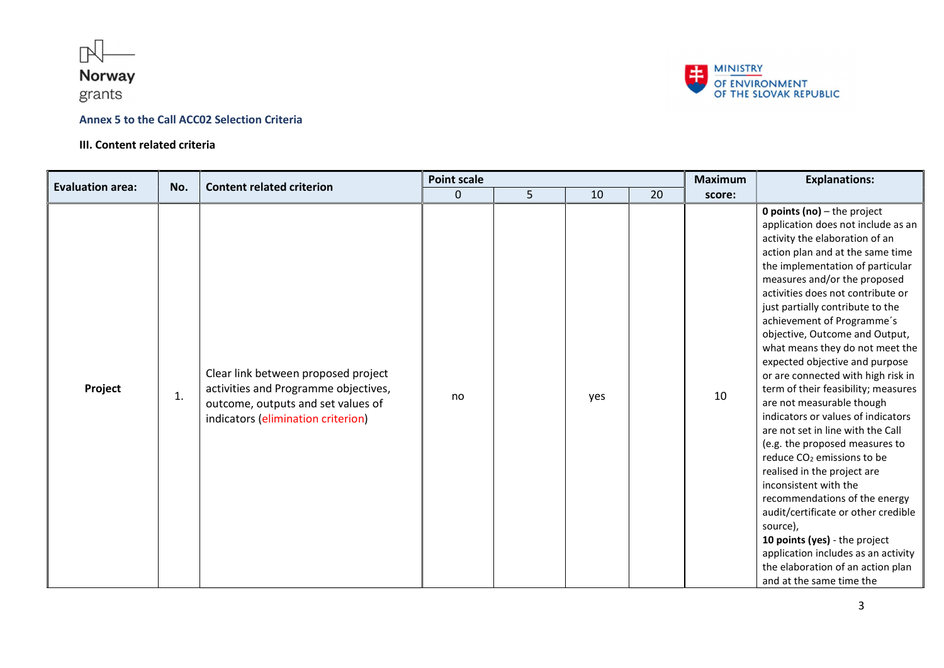

## grants

#### Annex 5 to the Call ACC02 Selection Criteria

#### III. Content related criteria



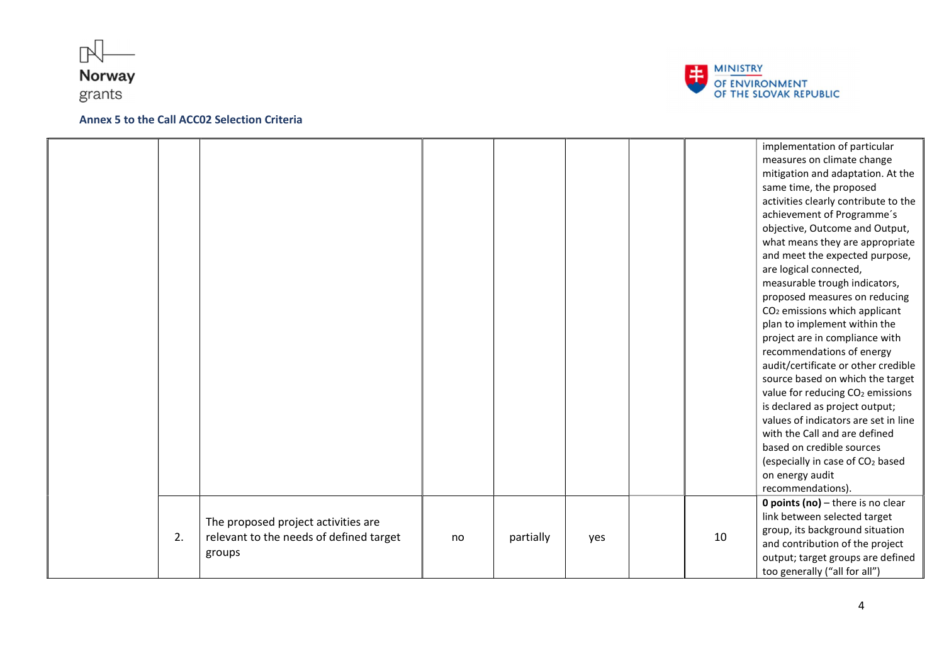





|    |                                         |    |           |     |    | implementation of particular                 |
|----|-----------------------------------------|----|-----------|-----|----|----------------------------------------------|
|    |                                         |    |           |     |    | measures on climate change                   |
|    |                                         |    |           |     |    | mitigation and adaptation. At the            |
|    |                                         |    |           |     |    | same time, the proposed                      |
|    |                                         |    |           |     |    | activities clearly contribute to the         |
|    |                                         |    |           |     |    | achievement of Programme's                   |
|    |                                         |    |           |     |    | objective, Outcome and Output,               |
|    |                                         |    |           |     |    | what means they are appropriate              |
|    |                                         |    |           |     |    | and meet the expected purpose,               |
|    |                                         |    |           |     |    | are logical connected,                       |
|    |                                         |    |           |     |    | measurable trough indicators,                |
|    |                                         |    |           |     |    | proposed measures on reducing                |
|    |                                         |    |           |     |    | CO <sub>2</sub> emissions which applicant    |
|    |                                         |    |           |     |    | plan to implement within the                 |
|    |                                         |    |           |     |    | project are in compliance with               |
|    |                                         |    |           |     |    | recommendations of energy                    |
|    |                                         |    |           |     |    | audit/certificate or other credible          |
|    |                                         |    |           |     |    | source based on which the target             |
|    |                                         |    |           |     |    | value for reducing CO <sub>2</sub> emissions |
|    |                                         |    |           |     |    | is declared as project output;               |
|    |                                         |    |           |     |    | values of indicators are set in line         |
|    |                                         |    |           |     |    | with the Call and are defined                |
|    |                                         |    |           |     |    | based on credible sources                    |
|    |                                         |    |           |     |    | (especially in case of CO <sub>2</sub> based |
|    |                                         |    |           |     |    | on energy audit                              |
|    |                                         |    |           |     |    | recommendations).                            |
|    |                                         |    |           |     |    | <b>0 points (no)</b> $-$ there is no clear   |
|    |                                         |    |           |     |    | link between selected target                 |
|    | The proposed project activities are     |    |           |     |    | group, its background situation              |
| 2. | relevant to the needs of defined target | no | partially | yes | 10 | and contribution of the project              |
|    | groups                                  |    |           |     |    | output; target groups are defined            |
|    |                                         |    |           |     |    | too generally ("all for all")                |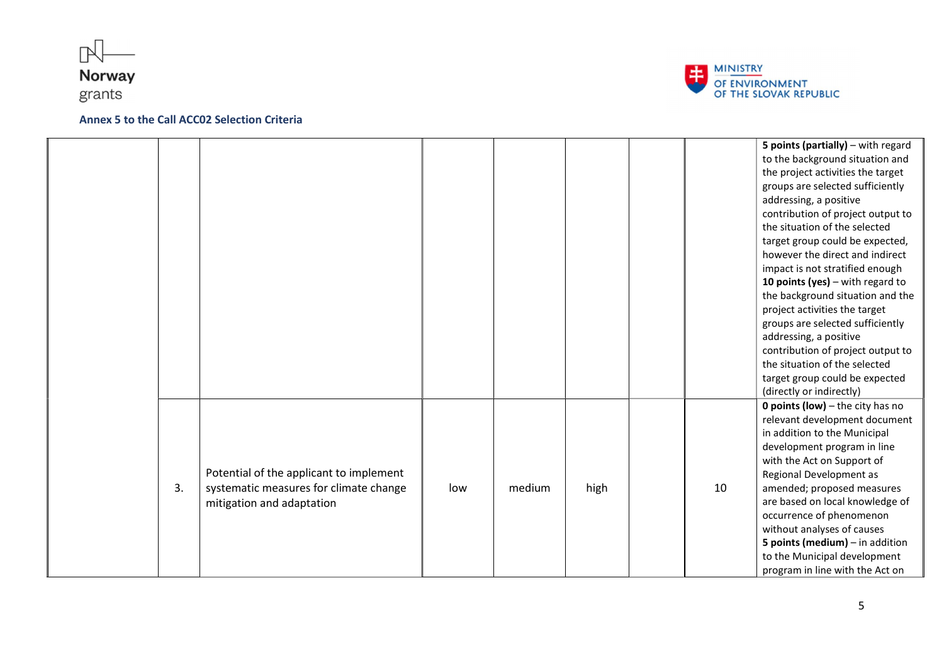





|    |                                                                                                                |     |        |      |    | 5 points (partially) - with regard<br>to the background situation and<br>the project activities the target<br>groups are selected sufficiently<br>addressing, a positive<br>contribution of project output to<br>the situation of the selected<br>target group could be expected,<br>however the direct and indirect<br>impact is not stratified enough<br>10 points (yes) $-$ with regard to<br>the background situation and the<br>project activities the target<br>groups are selected sufficiently<br>addressing, a positive<br>contribution of project output to |
|----|----------------------------------------------------------------------------------------------------------------|-----|--------|------|----|-----------------------------------------------------------------------------------------------------------------------------------------------------------------------------------------------------------------------------------------------------------------------------------------------------------------------------------------------------------------------------------------------------------------------------------------------------------------------------------------------------------------------------------------------------------------------|
|    |                                                                                                                |     |        |      |    | the situation of the selected<br>target group could be expected<br>(directly or indirectly)                                                                                                                                                                                                                                                                                                                                                                                                                                                                           |
| 3. | Potential of the applicant to implement<br>systematic measures for climate change<br>mitigation and adaptation | low | medium | high | 10 | <b>0 points (low)</b> $-$ the city has no<br>relevant development document<br>in addition to the Municipal<br>development program in line<br>with the Act on Support of<br>Regional Development as<br>amended; proposed measures<br>are based on local knowledge of<br>occurrence of phenomenon<br>without analyses of causes<br>5 points (medium) $-$ in addition<br>to the Municipal development<br>program in line with the Act on                                                                                                                                 |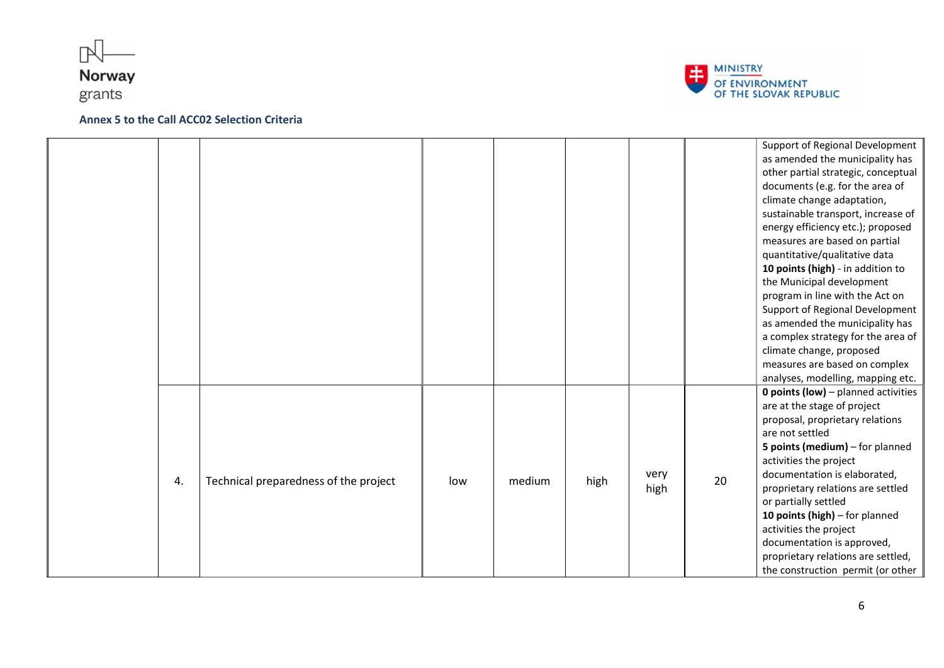





|    |                                       |     |        |      |              |    | Support of Regional Development<br>as amended the municipality has<br>other partial strategic, conceptual<br>documents (e.g. for the area of<br>climate change adaptation,<br>sustainable transport, increase of<br>energy efficiency etc.); proposed<br>measures are based on partial<br>quantitative/qualitative data<br>10 points (high) - in addition to<br>the Municipal development<br>program in line with the Act on<br>Support of Regional Development<br>as amended the municipality has<br>a complex strategy for the area of<br>climate change, proposed<br>measures are based on complex<br>analyses, modelling, mapping etc. |
|----|---------------------------------------|-----|--------|------|--------------|----|--------------------------------------------------------------------------------------------------------------------------------------------------------------------------------------------------------------------------------------------------------------------------------------------------------------------------------------------------------------------------------------------------------------------------------------------------------------------------------------------------------------------------------------------------------------------------------------------------------------------------------------------|
| 4. | Technical preparedness of the project | low | medium | high | very<br>high | 20 | <b>0 points (low)</b> - planned activities<br>are at the stage of project<br>proposal, proprietary relations<br>are not settled<br>5 points (medium) - for planned<br>activities the project<br>documentation is elaborated,<br>proprietary relations are settled<br>or partially settled<br>10 points (high) $-$ for planned<br>activities the project<br>documentation is approved,<br>proprietary relations are settled,<br>the construction permit (or other                                                                                                                                                                           |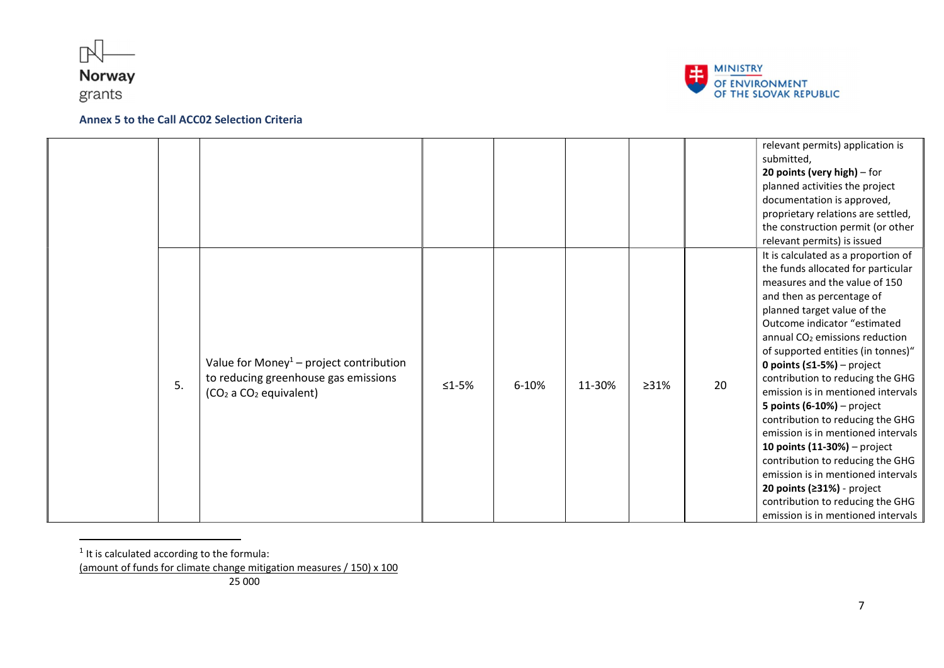





|    |                                                                                                                                               |         |       |        |      |    | relevant permits) application is<br>submitted,<br>20 points (very high) $-$ for<br>planned activities the project<br>documentation is approved,<br>proprietary relations are settled,<br>the construction permit (or other<br>relevant permits) is issued                                                                                                                                                                                                                                                                                                                                                                                                                                                                            |
|----|-----------------------------------------------------------------------------------------------------------------------------------------------|---------|-------|--------|------|----|--------------------------------------------------------------------------------------------------------------------------------------------------------------------------------------------------------------------------------------------------------------------------------------------------------------------------------------------------------------------------------------------------------------------------------------------------------------------------------------------------------------------------------------------------------------------------------------------------------------------------------------------------------------------------------------------------------------------------------------|
| 5. | Value for Money <sup>1</sup> – project contribution<br>to reducing greenhouse gas emissions<br>(CO <sub>2</sub> a CO <sub>2</sub> equivalent) | $≤1-5%$ | 6-10% | 11-30% | >31% | 20 | It is calculated as a proportion of<br>the funds allocated for particular<br>measures and the value of 150<br>and then as percentage of<br>planned target value of the<br>Outcome indicator "estimated<br>annual CO <sub>2</sub> emissions reduction<br>of supported entities (in tonnes)"<br>0 points $(51-5%)$ – project<br>contribution to reducing the GHG<br>emission is in mentioned intervals<br>5 points $(6-10%)$ – project<br>contribution to reducing the GHG<br>emission is in mentioned intervals<br>10 points $(11-30%)$ – project<br>contribution to reducing the GHG<br>emission is in mentioned intervals<br>20 points $(231%)$ - project<br>contribution to reducing the GHG<br>emission is in mentioned intervals |

 $<sup>1</sup>$  It is calculated according to the formula:</sup>

j

<sup>(</sup>amount of funds for climate change mitigation measures / 150) x 100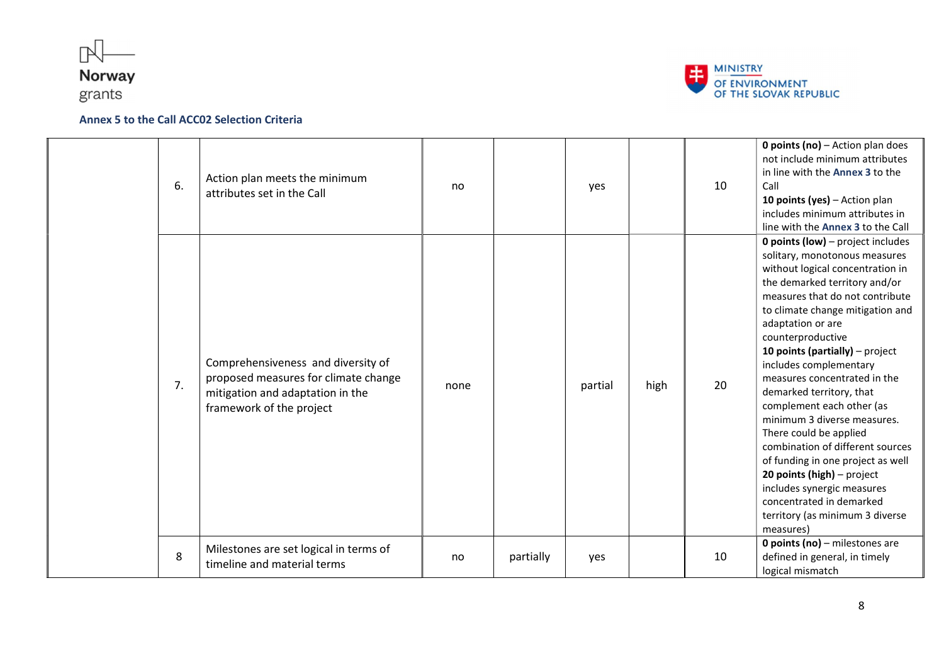



| 6. | Action plan meets the minimum<br>attributes set in the Call                                                                                | no   |           | yes     |      | 10 | <b>0 points (no)</b> $-$ Action plan does<br>not include minimum attributes<br>in line with the Annex 3 to the<br>Call<br>10 points (yes) - Action plan<br>includes minimum attributes in<br>line with the Annex 3 to the Call                                                                                                                                                                                                                                                                                                                                                                                                                                                                    |
|----|--------------------------------------------------------------------------------------------------------------------------------------------|------|-----------|---------|------|----|---------------------------------------------------------------------------------------------------------------------------------------------------------------------------------------------------------------------------------------------------------------------------------------------------------------------------------------------------------------------------------------------------------------------------------------------------------------------------------------------------------------------------------------------------------------------------------------------------------------------------------------------------------------------------------------------------|
| 7. | Comprehensiveness and diversity of<br>proposed measures for climate change<br>mitigation and adaptation in the<br>framework of the project | none |           | partial | high | 20 | <b>0 points (low)</b> - project includes<br>solitary, monotonous measures<br>without logical concentration in<br>the demarked territory and/or<br>measures that do not contribute<br>to climate change mitigation and<br>adaptation or are<br>counterproductive<br>10 points (partially) $-$ project<br>includes complementary<br>measures concentrated in the<br>demarked territory, that<br>complement each other (as<br>minimum 3 diverse measures.<br>There could be applied<br>combination of different sources<br>of funding in one project as well<br>20 points (high) - project<br>includes synergic measures<br>concentrated in demarked<br>territory (as minimum 3 diverse<br>measures) |
| 8  | Milestones are set logical in terms of<br>timeline and material terms                                                                      | no   | partially | yes     |      | 10 | <b>0 points (no)</b> - milestones are<br>defined in general, in timely<br>logical mismatch                                                                                                                                                                                                                                                                                                                                                                                                                                                                                                                                                                                                        |

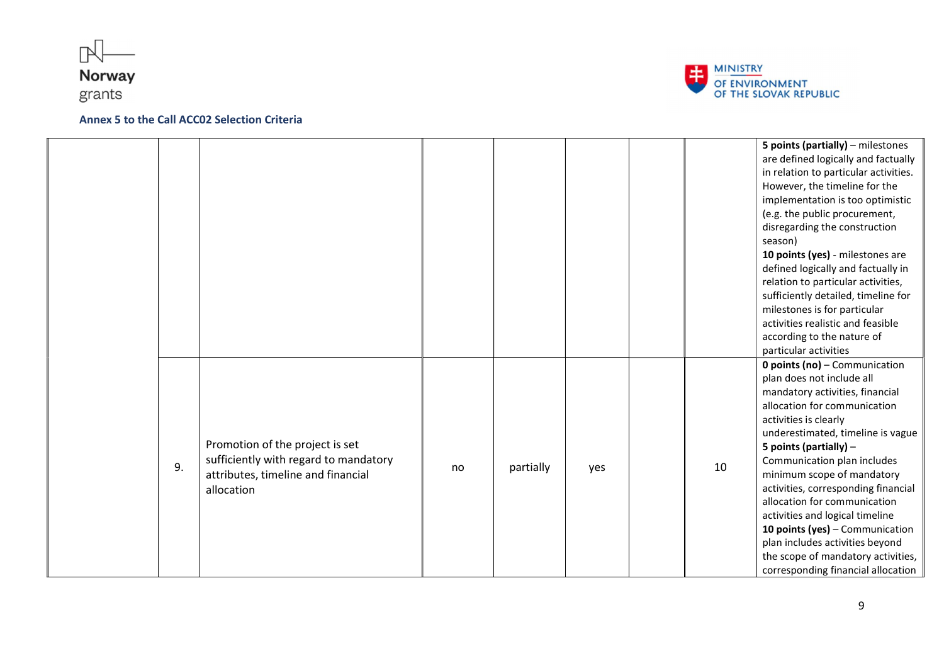





|    |                                       |    |           |     |    | 5 points (partially) - milestones     |
|----|---------------------------------------|----|-----------|-----|----|---------------------------------------|
|    |                                       |    |           |     |    | are defined logically and factually   |
|    |                                       |    |           |     |    | in relation to particular activities. |
|    |                                       |    |           |     |    | However, the timeline for the         |
|    |                                       |    |           |     |    | implementation is too optimistic      |
|    |                                       |    |           |     |    | (e.g. the public procurement,         |
|    |                                       |    |           |     |    | disregarding the construction         |
|    |                                       |    |           |     |    | season)                               |
|    |                                       |    |           |     |    | 10 points (yes) - milestones are      |
|    |                                       |    |           |     |    | defined logically and factually in    |
|    |                                       |    |           |     |    | relation to particular activities,    |
|    |                                       |    |           |     |    | sufficiently detailed, timeline for   |
|    |                                       |    |           |     |    | milestones is for particular          |
|    |                                       |    |           |     |    | activities realistic and feasible     |
|    |                                       |    |           |     |    | according to the nature of            |
|    |                                       |    |           |     |    | particular activities                 |
|    |                                       |    |           |     |    | <b>0 points (no)</b> - Communication  |
|    |                                       |    |           |     |    | plan does not include all             |
|    |                                       |    |           |     |    | mandatory activities, financial       |
|    |                                       |    |           |     |    | allocation for communication          |
|    |                                       |    |           |     |    | activities is clearly                 |
|    |                                       |    |           |     |    | underestimated, timeline is vague     |
|    | Promotion of the project is set       |    |           |     |    | 5 points (partially) $-$              |
| 9. | sufficiently with regard to mandatory | no | partially | yes | 10 | Communication plan includes           |
|    | attributes, timeline and financial    |    |           |     |    | minimum scope of mandatory            |
|    | allocation                            |    |           |     |    | activities, corresponding financial   |
|    |                                       |    |           |     |    | allocation for communication          |
|    |                                       |    |           |     |    | activities and logical timeline       |
|    |                                       |    |           |     |    | 10 points (yes) - Communication       |
|    |                                       |    |           |     |    | plan includes activities beyond       |
|    |                                       |    |           |     |    | the scope of mandatory activities,    |
|    |                                       |    |           |     |    | corresponding financial allocation    |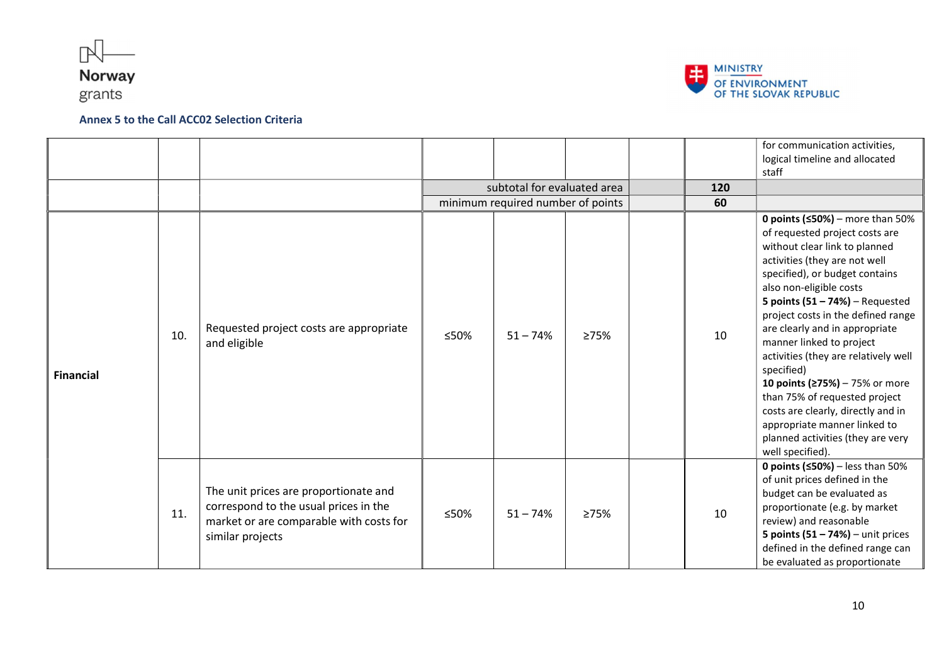



|                  |     |                                                                                                                                               |      |                                   |      |     | for communication activities,<br>logical timeline and allocated<br>staff                                                                                                                                                                                                                                                                                                                                                                                                                                                                                                                                 |
|------------------|-----|-----------------------------------------------------------------------------------------------------------------------------------------------|------|-----------------------------------|------|-----|----------------------------------------------------------------------------------------------------------------------------------------------------------------------------------------------------------------------------------------------------------------------------------------------------------------------------------------------------------------------------------------------------------------------------------------------------------------------------------------------------------------------------------------------------------------------------------------------------------|
|                  |     |                                                                                                                                               |      | subtotal for evaluated area       |      | 120 |                                                                                                                                                                                                                                                                                                                                                                                                                                                                                                                                                                                                          |
|                  |     |                                                                                                                                               |      | minimum required number of points |      | 60  |                                                                                                                                                                                                                                                                                                                                                                                                                                                                                                                                                                                                          |
| <b>Financial</b> | 10. | Requested project costs are appropriate<br>and eligible                                                                                       | ≤50% | $51 - 74%$                        | 275% | 10  | 0 points ( $\leq$ 50%) – more than 50%<br>of requested project costs are<br>without clear link to planned<br>activities (they are not well<br>specified), or budget contains<br>also non-eligible costs<br>5 points $(51 - 74%)$ – Requested<br>project costs in the defined range<br>are clearly and in appropriate<br>manner linked to project<br>activities (they are relatively well<br>specified)<br>10 points (≥75%) - 75% or more<br>than 75% of requested project<br>costs are clearly, directly and in<br>appropriate manner linked to<br>planned activities (they are very<br>well specified). |
|                  | 11. | The unit prices are proportionate and<br>correspond to the usual prices in the<br>market or are comparable with costs for<br>similar projects | ≤50% | $51 - 74%$                        | 275% | 10  | <b>0 points (<math>50\%</math>)</b> – less than 50%<br>of unit prices defined in the<br>budget can be evaluated as<br>proportionate (e.g. by market<br>review) and reasonable<br>5 points $(51 - 74%)$ – unit prices<br>defined in the defined range can<br>be evaluated as proportionate                                                                                                                                                                                                                                                                                                                |

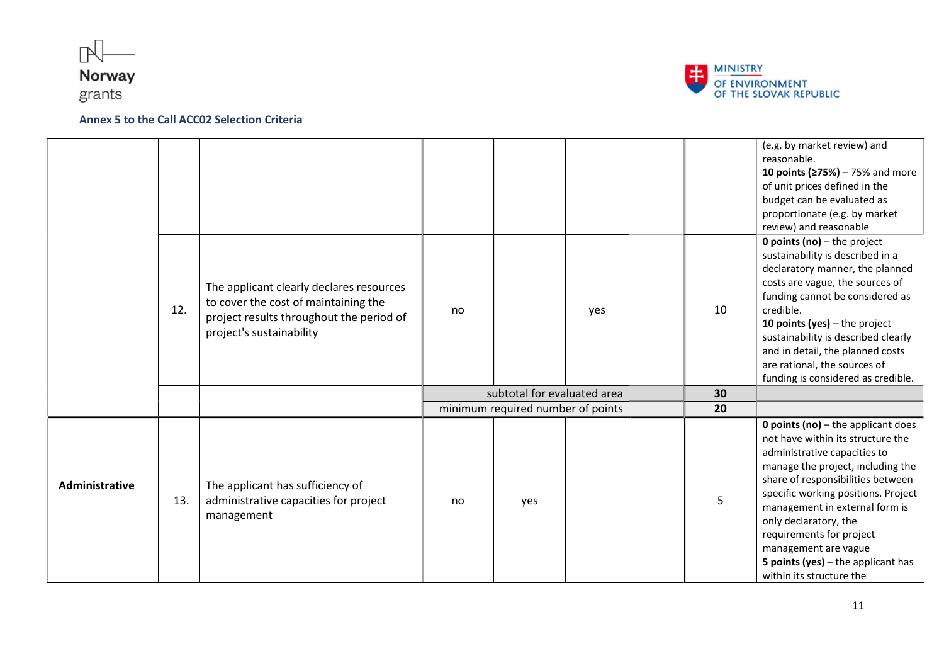





|                |     |                                                                                                                                                          |    |                                   |     |    | (e.g. by market review) and<br>reasonable.<br>10 points (≥75%) – 75% and more<br>of unit prices defined in the<br>budget can be evaluated as<br>proportionate (e.g. by market<br>review) and reasonable                                                                                                                                                                                                              |
|----------------|-----|----------------------------------------------------------------------------------------------------------------------------------------------------------|----|-----------------------------------|-----|----|----------------------------------------------------------------------------------------------------------------------------------------------------------------------------------------------------------------------------------------------------------------------------------------------------------------------------------------------------------------------------------------------------------------------|
|                | 12. | The applicant clearly declares resources<br>to cover the cost of maintaining the<br>project results throughout the period of<br>project's sustainability | no |                                   | yes | 10 | <b>0 points (no)</b> $-$ the project<br>sustainability is described in a<br>declaratory manner, the planned<br>costs are vague, the sources of<br>funding cannot be considered as<br>credible.<br>10 points (yes) $-$ the project<br>sustainability is described clearly<br>and in detail, the planned costs<br>are rational, the sources of<br>funding is considered as credible.                                   |
|                |     |                                                                                                                                                          |    | subtotal for evaluated area       |     | 30 |                                                                                                                                                                                                                                                                                                                                                                                                                      |
|                |     |                                                                                                                                                          |    | minimum required number of points |     | 20 |                                                                                                                                                                                                                                                                                                                                                                                                                      |
| Administrative | 13. | The applicant has sufficiency of<br>administrative capacities for project<br>management                                                                  | no | yes                               |     | 5  | <b>0 points (no)</b> $-$ the applicant does<br>not have within its structure the<br>administrative capacities to<br>manage the project, including the<br>share of responsibilities between<br>specific working positions. Project<br>management in external form is<br>only declaratory, the<br>requirements for project<br>management are vague<br>5 points (yes) $-$ the applicant has<br>within its structure the |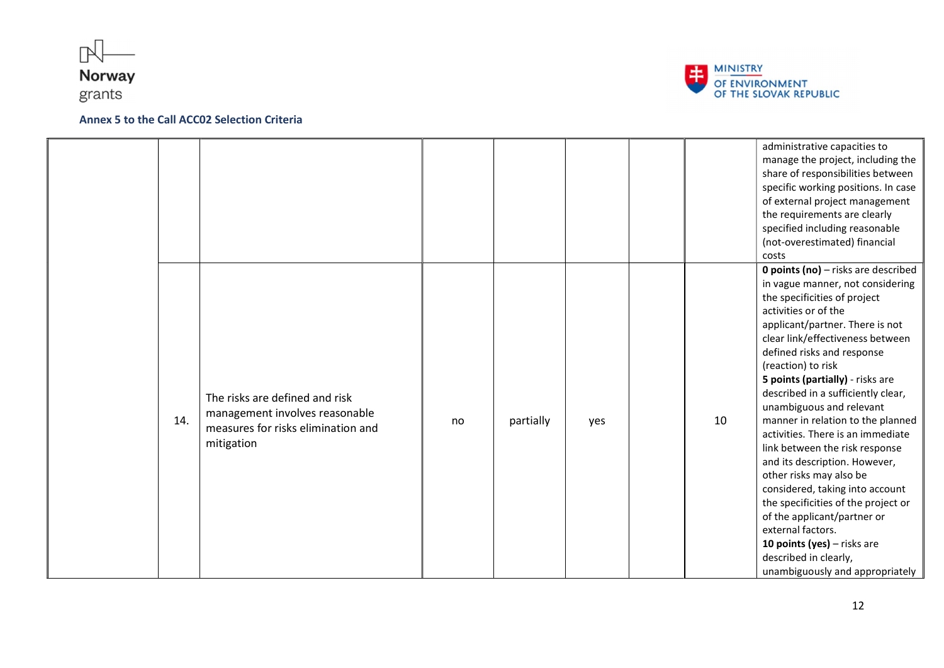





|     |                                                                                                                      |    |           |     |    | administrative capacities to<br>manage the project, including the<br>share of responsibilities between<br>specific working positions. In case<br>of external project management<br>the requirements are clearly<br>specified including reasonable<br>(not-overestimated) financial<br>costs                                                                                                                                                                                                                                                                                                                                                                                                                                                                       |
|-----|----------------------------------------------------------------------------------------------------------------------|----|-----------|-----|----|-------------------------------------------------------------------------------------------------------------------------------------------------------------------------------------------------------------------------------------------------------------------------------------------------------------------------------------------------------------------------------------------------------------------------------------------------------------------------------------------------------------------------------------------------------------------------------------------------------------------------------------------------------------------------------------------------------------------------------------------------------------------|
| 14. | The risks are defined and risk<br>management involves reasonable<br>measures for risks elimination and<br>mitigation | no | partially | yes | 10 | 0 points (no) - risks are described<br>in vague manner, not considering<br>the specificities of project<br>activities or of the<br>applicant/partner. There is not<br>clear link/effectiveness between<br>defined risks and response<br>(reaction) to risk<br>5 points (partially) - risks are<br>described in a sufficiently clear,<br>unambiguous and relevant<br>manner in relation to the planned<br>activities. There is an immediate<br>link between the risk response<br>and its description. However,<br>other risks may also be<br>considered, taking into account<br>the specificities of the project or<br>of the applicant/partner or<br>external factors.<br>10 points (yes) - risks are<br>described in clearly,<br>unambiguously and appropriately |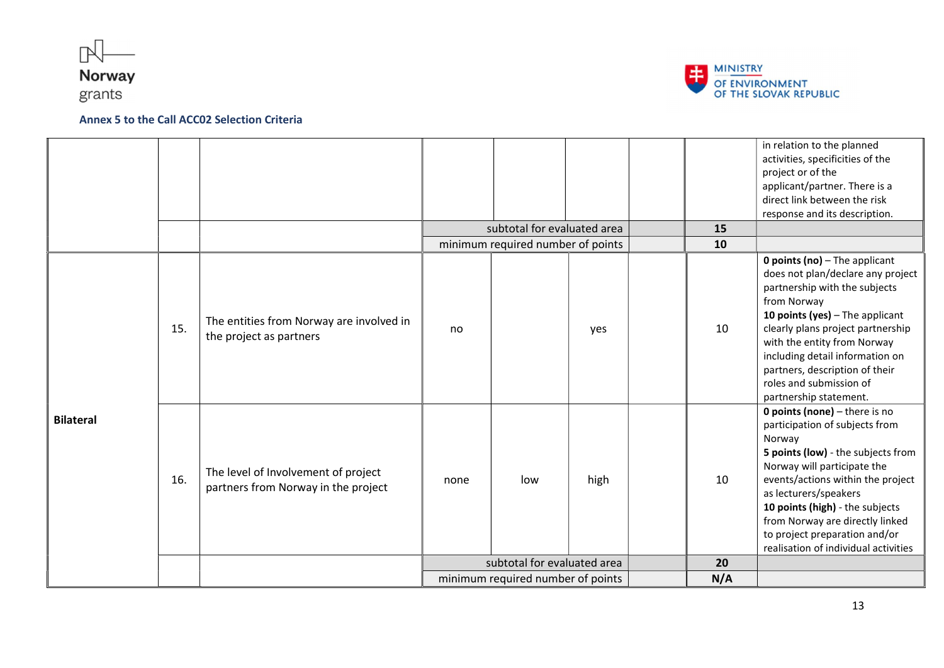



|                  |     |                                                                            |                                   | subtotal for evaluated area       |      | 15       | in relation to the planned<br>activities, specificities of the<br>project or of the<br>applicant/partner. There is a<br>direct link between the risk<br>response and its description.                                                                                                                                                                        |
|------------------|-----|----------------------------------------------------------------------------|-----------------------------------|-----------------------------------|------|----------|--------------------------------------------------------------------------------------------------------------------------------------------------------------------------------------------------------------------------------------------------------------------------------------------------------------------------------------------------------------|
| <b>Bilateral</b> | 15. | The entities from Norway are involved in<br>the project as partners        | no                                | minimum required number of points | yes  | 10<br>10 | <b>0 points (no)</b> $-$ The applicant<br>does not plan/declare any project<br>partnership with the subjects<br>from Norway<br>10 points (yes) - The applicant<br>clearly plans project partnership<br>with the entity from Norway<br>including detail information on<br>partners, description of their<br>roles and submission of<br>partnership statement. |
|                  | 16. | The level of Involvement of project<br>partners from Norway in the project | none                              | low                               | high | 10       | 0 points (none) - there is no<br>participation of subjects from<br>Norway<br>5 points (low) - the subjects from<br>Norway will participate the<br>events/actions within the project<br>as lecturers/speakers<br>10 points (high) - the subjects<br>from Norway are directly linked<br>to project preparation and/or<br>realisation of individual activities  |
|                  |     |                                                                            | subtotal for evaluated area       |                                   |      | 20       |                                                                                                                                                                                                                                                                                                                                                              |
|                  |     |                                                                            | minimum required number of points |                                   |      | N/A      |                                                                                                                                                                                                                                                                                                                                                              |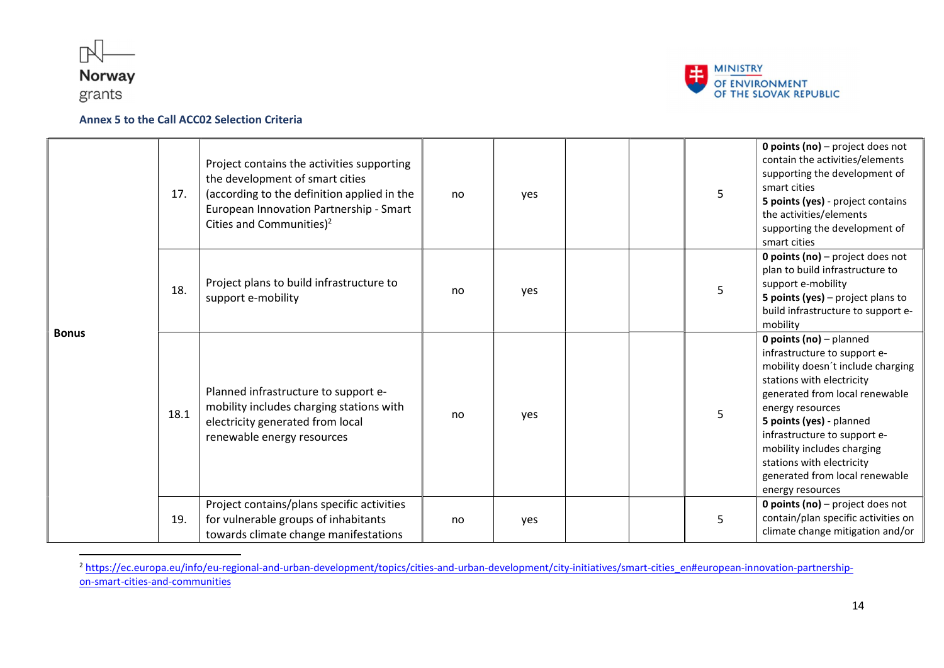

-



### Annex 5 to the Call ACC02 Selection Criteria

| <b>Bonus</b> | 17.  | Project contains the activities supporting<br>the development of smart cities<br>(according to the definition applied in the<br>European Innovation Partnership - Smart<br>Cities and Communities) <sup>2</sup> | no | ves | 5 | <b>0 points (no)</b> $-$ project does not<br>contain the activities/elements<br>supporting the development of<br>smart cities<br>5 points (yes) - project contains<br>the activities/elements<br>supporting the development of<br>smart cities                                                                                                                        |
|--------------|------|-----------------------------------------------------------------------------------------------------------------------------------------------------------------------------------------------------------------|----|-----|---|-----------------------------------------------------------------------------------------------------------------------------------------------------------------------------------------------------------------------------------------------------------------------------------------------------------------------------------------------------------------------|
|              | 18.  | Project plans to build infrastructure to<br>support e-mobility                                                                                                                                                  | no | yes |   | <b>0 points (no)</b> – project does not<br>plan to build infrastructure to<br>support e-mobility<br>5 points (yes) – project plans to<br>build infrastructure to support e-<br>mobility                                                                                                                                                                               |
|              | 18.1 | Planned infrastructure to support e-<br>mobility includes charging stations with<br>electricity generated from local<br>renewable energy resources                                                              | no | yes | 5 | <b>0 points (no)</b> $-$ planned<br>infrastructure to support e-<br>mobility doesn't include charging<br>stations with electricity<br>generated from local renewable<br>energy resources<br>5 points (yes) - planned<br>infrastructure to support e-<br>mobility includes charging<br>stations with electricity<br>generated from local renewable<br>energy resources |
|              | 19.  | Project contains/plans specific activities<br>for vulnerable groups of inhabitants<br>towards climate change manifestations                                                                                     | no | yes | 5 | <b>0 points (no)</b> $-$ project does not<br>contain/plan specific activities on<br>climate change mitigation and/or                                                                                                                                                                                                                                                  |

<sup>2</sup> https://ec.europa.eu/info/eu-regional-and-urban-development/topics/cities-and-urban-development/city-initiatives/smart-cities\_en#european-innovation-partnershipon-smart-cities-and-communities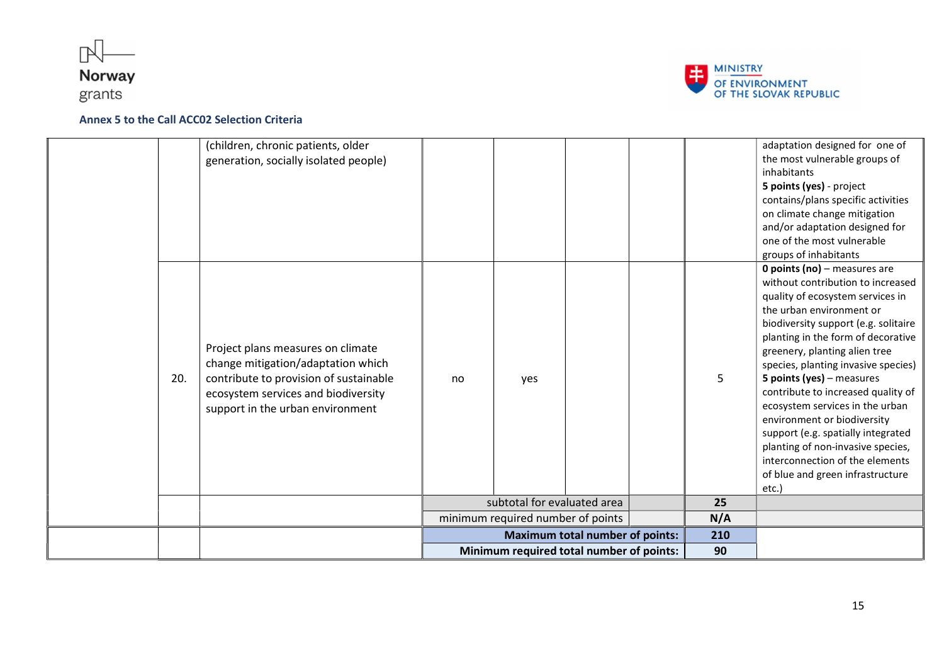



|     |                                                                                                                                                                                              | Minimum required total number of points: |     |    | 90  |   |                                                                                                                                                                                                                                                                                                                                                                                                                                                                                                                                                                                                                         |
|-----|----------------------------------------------------------------------------------------------------------------------------------------------------------------------------------------------|------------------------------------------|-----|----|-----|---|-------------------------------------------------------------------------------------------------------------------------------------------------------------------------------------------------------------------------------------------------------------------------------------------------------------------------------------------------------------------------------------------------------------------------------------------------------------------------------------------------------------------------------------------------------------------------------------------------------------------------|
|     |                                                                                                                                                                                              | <b>Maximum total number of points:</b>   |     |    | 210 |   |                                                                                                                                                                                                                                                                                                                                                                                                                                                                                                                                                                                                                         |
|     |                                                                                                                                                                                              | minimum required number of points        |     |    | N/A |   |                                                                                                                                                                                                                                                                                                                                                                                                                                                                                                                                                                                                                         |
|     |                                                                                                                                                                                              | subtotal for evaluated area              |     | 25 |     |   |                                                                                                                                                                                                                                                                                                                                                                                                                                                                                                                                                                                                                         |
| 20. | Project plans measures on climate<br>change mitigation/adaptation which<br>contribute to provision of sustainable<br>ecosystem services and biodiversity<br>support in the urban environment | no                                       | yes |    |     | 5 | groups of inhabitants<br><b>0 points (no)</b> - measures are<br>without contribution to increased<br>quality of ecosystem services in<br>the urban environment or<br>biodiversity support (e.g. solitaire<br>planting in the form of decorative<br>greenery, planting alien tree<br>species, planting invasive species)<br>5 points (yes) - measures<br>contribute to increased quality of<br>ecosystem services in the urban<br>environment or biodiversity<br>support (e.g. spatially integrated<br>planting of non-invasive species,<br>interconnection of the elements<br>of blue and green infrastructure<br>etc.) |
|     | (children, chronic patients, older<br>generation, socially isolated people)                                                                                                                  |                                          |     |    |     |   | adaptation designed for one of<br>the most vulnerable groups of<br>inhabitants<br>5 points (yes) - project<br>contains/plans specific activities<br>on climate change mitigation<br>and/or adaptation designed for<br>one of the most vulnerable                                                                                                                                                                                                                                                                                                                                                                        |